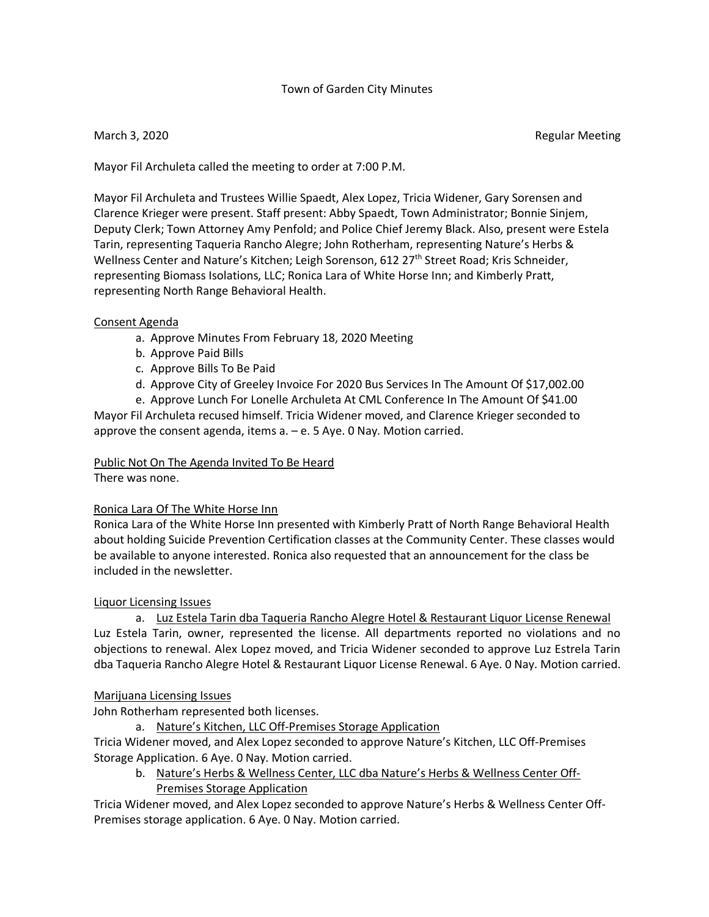# Town of Garden City Minutes

March 3, 2020 **Regular Meeting** 

Mayor Fil Archuleta called the meeting to order at 7:00 P.M.

Mayor Fil Archuleta and Trustees Willie Spaedt, Alex Lopez, Tricia Widener, Gary Sorensen and Clarence Krieger were present. Staff present: Abby Spaedt, Town Administrator; Bonnie Sinjem, Deputy Clerk; Town Attorney Amy Penfold; and Police Chief Jeremy Black. Also, present were Estela Tarin, representing Taqueria Rancho Alegre; John Rotherham, representing Nature's Herbs & Wellness Center and Nature's Kitchen; Leigh Sorenson, 612 27<sup>th</sup> Street Road; Kris Schneider, representing Biomass Isolations, LLC; Ronica Lara of White Horse Inn; and Kimberly Pratt, representing North Range Behavioral Health.

# Consent Agenda

- a. Approve Minutes From February 18, 2020 Meeting
- b. Approve Paid Bills
- c. Approve Bills To Be Paid
- d. Approve City of Greeley Invoice For 2020 Bus Services In The Amount Of \$17,002.00

e. Approve Lunch For Lonelle Archuleta At CML Conference In The Amount Of \$41.00 Mayor Fil Archuleta recused himself. Tricia Widener moved, and Clarence Krieger seconded to approve the consent agenda, items a. – e. 5 Aye. 0 Nay. Motion carried.

## Public Not On The Agenda Invited To Be Heard

There was none.

## Ronica Lara Of The White Horse Inn

Ronica Lara of the White Horse Inn presented with Kimberly Pratt of North Range Behavioral Health about holding Suicide Prevention Certification classes at the Community Center. These classes would be available to anyone interested. Ronica also requested that an announcement for the class be included in the newsletter.

## Liquor Licensing Issues

a. Luz Estela Tarin dba Taqueria Rancho Alegre Hotel & Restaurant Liquor License Renewal Luz Estela Tarin, owner, represented the license. All departments reported no violations and no objections to renewal. Alex Lopez moved, and Tricia Widener seconded to approve Luz Estrela Tarin dba Taqueria Rancho Alegre Hotel & Restaurant Liquor License Renewal. 6 Aye. 0 Nay. Motion carried.

## Marijuana Licensing Issues

John Rotherham represented both licenses.

a. Nature's Kitchen, LLC Off-Premises Storage Application

Tricia Widener moved, and Alex Lopez seconded to approve Nature's Kitchen, LLC Off-Premises Storage Application. 6 Aye. 0 Nay. Motion carried.

b. Nature's Herbs & Wellness Center, LLC dba Nature's Herbs & Wellness Center Off-Premises Storage Application

Tricia Widener moved, and Alex Lopez seconded to approve Nature's Herbs & Wellness Center Off-Premises storage application. 6 Aye. 0 Nay. Motion carried.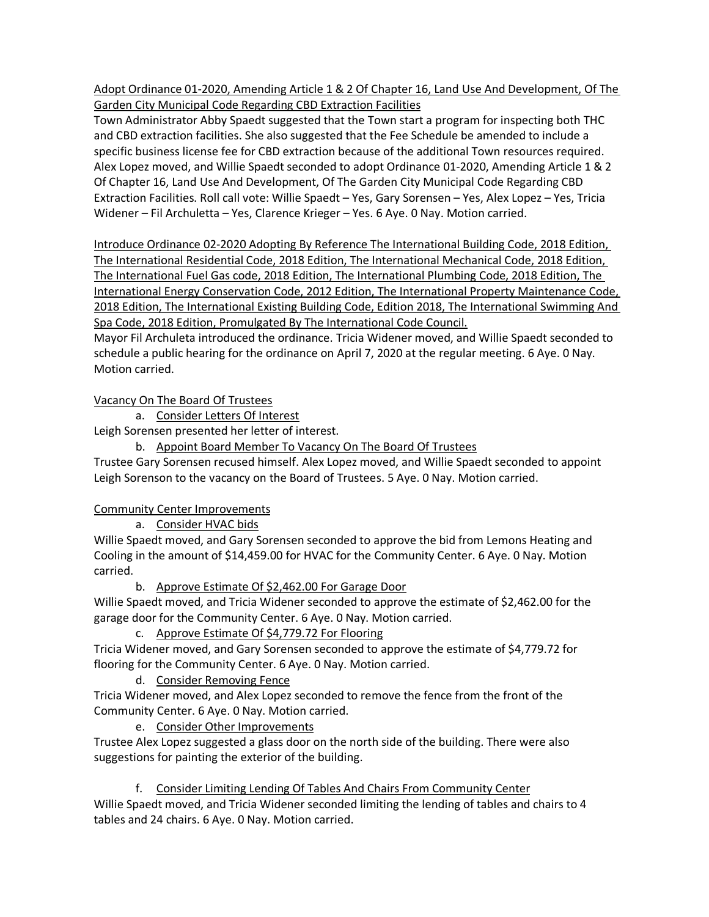Adopt Ordinance 01-2020, Amending Article 1 & 2 Of Chapter 16, Land Use And Development, Of The Garden City Municipal Code Regarding CBD Extraction Facilities

Town Administrator Abby Spaedt suggested that the Town start a program for inspecting both THC and CBD extraction facilities. She also suggested that the Fee Schedule be amended to include a specific business license fee for CBD extraction because of the additional Town resources required. Alex Lopez moved, and Willie Spaedt seconded to adopt Ordinance 01-2020, Amending Article 1 & 2 Of Chapter 16, Land Use And Development, Of The Garden City Municipal Code Regarding CBD Extraction Facilities. Roll call vote: Willie Spaedt – Yes, Gary Sorensen – Yes, Alex Lopez – Yes, Tricia Widener – Fil Archuletta – Yes, Clarence Krieger – Yes. 6 Aye. 0 Nay. Motion carried.

Introduce Ordinance 02-2020 Adopting By Reference The International Building Code, 2018 Edition, The International Residential Code, 2018 Edition, The International Mechanical Code, 2018 Edition, The International Fuel Gas code, 2018 Edition, The International Plumbing Code, 2018 Edition, The International Energy Conservation Code, 2012 Edition, The International Property Maintenance Code, 2018 Edition, The International Existing Building Code, Edition 2018, The International Swimming And Spa Code, 2018 Edition, Promulgated By The International Code Council.

Mayor Fil Archuleta introduced the ordinance. Tricia Widener moved, and Willie Spaedt seconded to schedule a public hearing for the ordinance on April 7, 2020 at the regular meeting. 6 Aye. 0 Nay. Motion carried.

Vacancy On The Board Of Trustees

a. Consider Letters Of Interest

Leigh Sorensen presented her letter of interest.

b. Appoint Board Member To Vacancy On The Board Of Trustees

Trustee Gary Sorensen recused himself. Alex Lopez moved, and Willie Spaedt seconded to appoint Leigh Sorenson to the vacancy on the Board of Trustees. 5 Aye. 0 Nay. Motion carried.

Community Center Improvements

a. Consider HVAC bids

Willie Spaedt moved, and Gary Sorensen seconded to approve the bid from Lemons Heating and Cooling in the amount of \$14,459.00 for HVAC for the Community Center. 6 Aye. 0 Nay. Motion carried.

b. Approve Estimate Of \$2,462.00 For Garage Door

Willie Spaedt moved, and Tricia Widener seconded to approve the estimate of \$2,462.00 for the garage door for the Community Center. 6 Aye. 0 Nay. Motion carried.

c. Approve Estimate Of \$4,779.72 For Flooring

Tricia Widener moved, and Gary Sorensen seconded to approve the estimate of \$4,779.72 for flooring for the Community Center. 6 Aye. 0 Nay. Motion carried.

d. Consider Removing Fence

Tricia Widener moved, and Alex Lopez seconded to remove the fence from the front of the Community Center. 6 Aye. 0 Nay. Motion carried.

e. Consider Other Improvements

Trustee Alex Lopez suggested a glass door on the north side of the building. There were also suggestions for painting the exterior of the building.

f. Consider Limiting Lending Of Tables And Chairs From Community Center

Willie Spaedt moved, and Tricia Widener seconded limiting the lending of tables and chairs to 4 tables and 24 chairs. 6 Aye. 0 Nay. Motion carried.